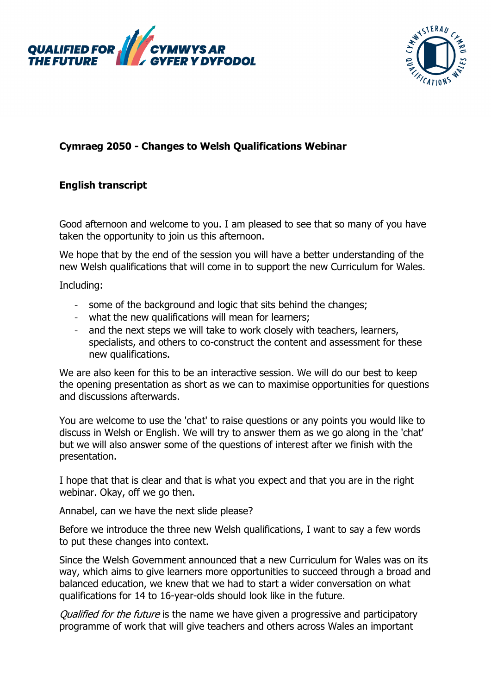



## **Cymraeg 2050 - Changes to Welsh Qualifications Webinar**

## **English transcript**

Good afternoon and welcome to you. I am pleased to see that so many of you have taken the opportunity to join us this afternoon.

We hope that by the end of the session you will have a better understanding of the new Welsh qualifications that will come in to support the new Curriculum for Wales.

Including:

- some of the background and logic that sits behind the changes;
- what the new qualifications will mean for learners;
- and the next steps we will take to work closely with teachers, learners, specialists, and others to co-construct the content and assessment for these new qualifications.

We are also keen for this to be an interactive session. We will do our best to keep the opening presentation as short as we can to maximise opportunities for questions and discussions afterwards.

You are welcome to use the 'chat' to raise questions or any points you would like to discuss in Welsh or English. We will try to answer them as we go along in the 'chat' but we will also answer some of the questions of interest after we finish with the presentation.

I hope that that is clear and that is what you expect and that you are in the right webinar. Okay, off we go then.

Annabel, can we have the next slide please?

Before we introduce the three new Welsh qualifications, I want to say a few words to put these changes into context.

Since the Welsh Government announced that a new Curriculum for Wales was on its way, which aims to give learners more opportunities to succeed through a broad and balanced education, we knew that we had to start a wider conversation on what qualifications for 14 to 16-year-olds should look like in the future.

Qualified for the future is the name we have given a progressive and participatory programme of work that will give teachers and others across Wales an important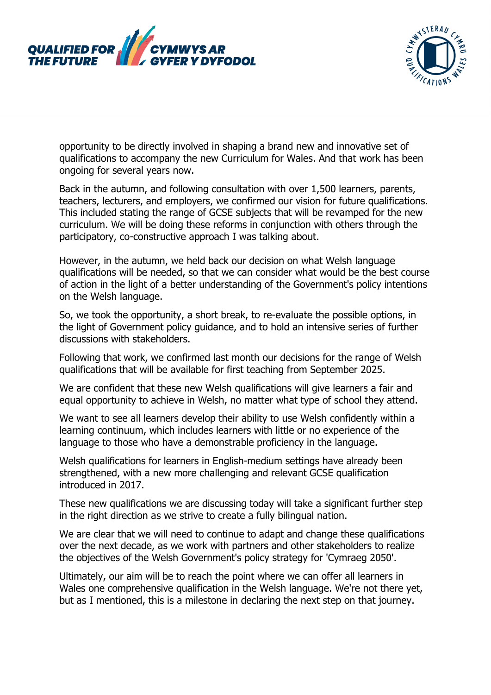



opportunity to be directly involved in shaping a brand new and innovative set of qualifications to accompany the new Curriculum for Wales. And that work has been ongoing for several years now.

Back in the autumn, and following consultation with over 1,500 learners, parents, teachers, lecturers, and employers, we confirmed our vision for future qualifications. This included stating the range of GCSE subjects that will be revamped for the new curriculum. We will be doing these reforms in conjunction with others through the participatory, co-constructive approach I was talking about.

However, in the autumn, we held back our decision on what Welsh language qualifications will be needed, so that we can consider what would be the best course of action in the light of a better understanding of the Government's policy intentions on the Welsh language.

So, we took the opportunity, a short break, to re-evaluate the possible options, in the light of Government policy guidance, and to hold an intensive series of further discussions with stakeholders.

Following that work, we confirmed last month our decisions for the range of Welsh qualifications that will be available for first teaching from September 2025.

We are confident that these new Welsh qualifications will give learners a fair and equal opportunity to achieve in Welsh, no matter what type of school they attend.

We want to see all learners develop their ability to use Welsh confidently within a learning continuum, which includes learners with little or no experience of the language to those who have a demonstrable proficiency in the language.

Welsh qualifications for learners in English-medium settings have already been strengthened, with a new more challenging and relevant GCSE qualification introduced in 2017.

These new qualifications we are discussing today will take a significant further step in the right direction as we strive to create a fully bilingual nation.

We are clear that we will need to continue to adapt and change these qualifications over the next decade, as we work with partners and other stakeholders to realize the objectives of the Welsh Government's policy strategy for 'Cymraeg 2050'.

Ultimately, our aim will be to reach the point where we can offer all learners in Wales one comprehensive qualification in the Welsh language. We're not there yet, but as I mentioned, this is a milestone in declaring the next step on that journey.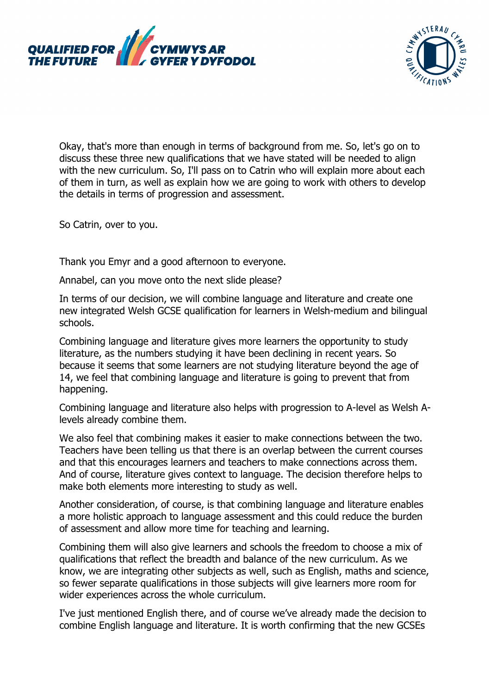



Okay, that's more than enough in terms of background from me. So, let's go on to discuss these three new qualifications that we have stated will be needed to align with the new curriculum. So, I'll pass on to Catrin who will explain more about each of them in turn, as well as explain how we are going to work with others to develop the details in terms of progression and assessment.

So Catrin, over to you.

Thank you Emyr and a good afternoon to everyone.

Annabel, can you move onto the next slide please?

In terms of our decision, we will combine language and literature and create one new integrated Welsh GCSE qualification for learners in Welsh-medium and bilingual schools.

Combining language and literature gives more learners the opportunity to study literature, as the numbers studying it have been declining in recent years. So because it seems that some learners are not studying literature beyond the age of 14, we feel that combining language and literature is going to prevent that from happening.

Combining language and literature also helps with progression to A-level as Welsh Alevels already combine them.

We also feel that combining makes it easier to make connections between the two. Teachers have been telling us that there is an overlap between the current courses and that this encourages learners and teachers to make connections across them. And of course, literature gives context to language. The decision therefore helps to make both elements more interesting to study as well.

Another consideration, of course, is that combining language and literature enables a more holistic approach to language assessment and this could reduce the burden of assessment and allow more time for teaching and learning.

Combining them will also give learners and schools the freedom to choose a mix of qualifications that reflect the breadth and balance of the new curriculum. As we know, we are integrating other subjects as well, such as English, maths and science, so fewer separate qualifications in those subjects will give learners more room for wider experiences across the whole curriculum.

I've just mentioned English there, and of course we've already made the decision to combine English language and literature. It is worth confirming that the new GCSEs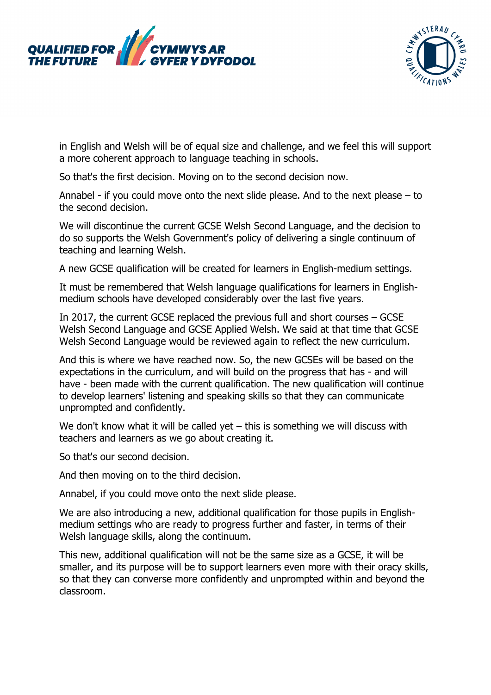



in English and Welsh will be of equal size and challenge, and we feel this will support a more coherent approach to language teaching in schools.

So that's the first decision. Moving on to the second decision now.

Annabel - if you could move onto the next slide please. And to the next please – to the second decision.

We will discontinue the current GCSE Welsh Second Language, and the decision to do so supports the Welsh Government's policy of delivering a single continuum of teaching and learning Welsh.

A new GCSE qualification will be created for learners in English-medium settings.

It must be remembered that Welsh language qualifications for learners in Englishmedium schools have developed considerably over the last five years.

In 2017, the current GCSE replaced the previous full and short courses – GCSE Welsh Second Language and GCSE Applied Welsh. We said at that time that GCSE Welsh Second Language would be reviewed again to reflect the new curriculum.

And this is where we have reached now. So, the new GCSEs will be based on the expectations in the curriculum, and will build on the progress that has - and will have - been made with the current qualification. The new qualification will continue to develop learners' listening and speaking skills so that they can communicate unprompted and confidently.

We don't know what it will be called yet – this is something we will discuss with teachers and learners as we go about creating it.

So that's our second decision.

And then moving on to the third decision.

Annabel, if you could move onto the next slide please.

We are also introducing a new, additional qualification for those pupils in Englishmedium settings who are ready to progress further and faster, in terms of their Welsh language skills, along the continuum.

This new, additional qualification will not be the same size as a GCSE, it will be smaller, and its purpose will be to support learners even more with their oracy skills, so that they can converse more confidently and unprompted within and beyond the classroom.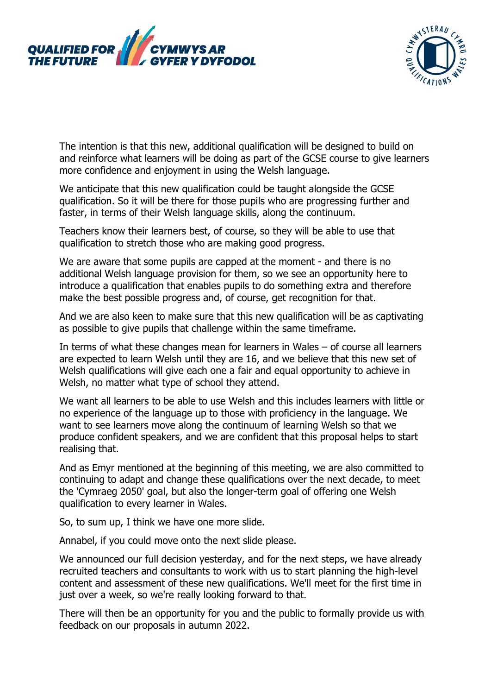



The intention is that this new, additional qualification will be designed to build on and reinforce what learners will be doing as part of the GCSE course to give learners more confidence and enjoyment in using the Welsh language.

We anticipate that this new qualification could be taught alongside the GCSE qualification. So it will be there for those pupils who are progressing further and faster, in terms of their Welsh language skills, along the continuum.

Teachers know their learners best, of course, so they will be able to use that qualification to stretch those who are making good progress.

We are aware that some pupils are capped at the moment - and there is no additional Welsh language provision for them, so we see an opportunity here to introduce a qualification that enables pupils to do something extra and therefore make the best possible progress and, of course, get recognition for that.

And we are also keen to make sure that this new qualification will be as captivating as possible to give pupils that challenge within the same timeframe.

In terms of what these changes mean for learners in Wales – of course all learners are expected to learn Welsh until they are 16, and we believe that this new set of Welsh qualifications will give each one a fair and equal opportunity to achieve in Welsh, no matter what type of school they attend.

We want all learners to be able to use Welsh and this includes learners with little or no experience of the language up to those with proficiency in the language. We want to see learners move along the continuum of learning Welsh so that we produce confident speakers, and we are confident that this proposal helps to start realising that.

And as Emyr mentioned at the beginning of this meeting, we are also committed to continuing to adapt and change these qualifications over the next decade, to meet the 'Cymraeg 2050' goal, but also the longer-term goal of offering one Welsh qualification to every learner in Wales.

So, to sum up, I think we have one more slide.

Annabel, if you could move onto the next slide please.

We announced our full decision yesterday, and for the next steps, we have already recruited teachers and consultants to work with us to start planning the high-level content and assessment of these new qualifications. We'll meet for the first time in just over a week, so we're really looking forward to that.

There will then be an opportunity for you and the public to formally provide us with feedback on our proposals in autumn 2022.